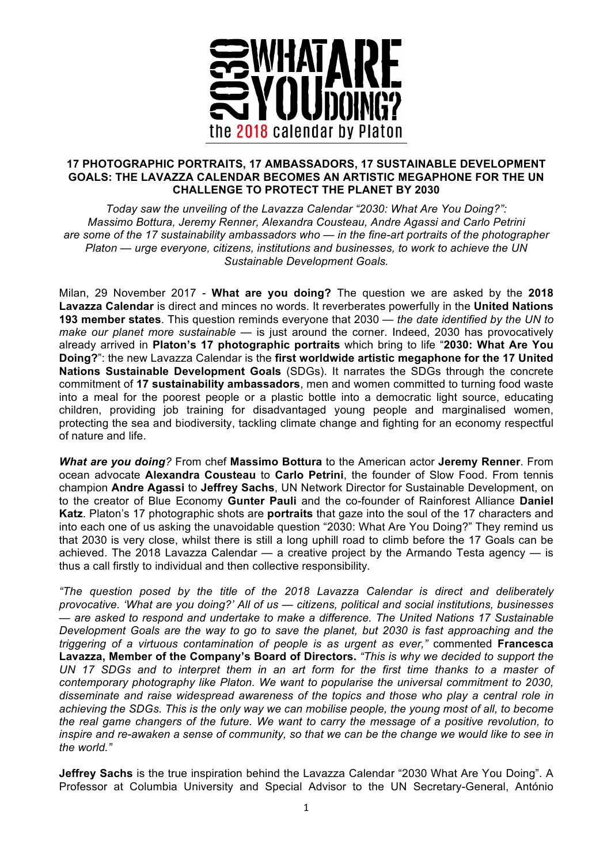

## **17 PHOTOGRAPHIC PORTRAITS, 17 AMBASSADORS, 17 SUSTAINABLE DEVELOPMENT GOALS: THE LAVAZZA CALENDAR BECOMES AN ARTISTIC MEGAPHONE FOR THE UN CHALLENGE TO PROTECT THE PLANET BY 2030**

*Today saw the unveiling of the Lavazza Calendar "2030: What Are You Doing?": Massimo Bottura, Jeremy Renner, Alexandra Cousteau, Andre Agassi and Carlo Petrini are some of the 17 sustainability ambassadors who — in the fine-art portraits of the photographer Platon — urge everyone, citizens, institutions and businesses, to work to achieve the UN Sustainable Development Goals.* 

Milan, 29 November 2017 - **What are you doing?** The question we are asked by the **2018 Lavazza Calendar** is direct and minces no words. It reverberates powerfully in the **United Nations 193 member states**. This question reminds everyone that 2030 — *the date identified by the UN to make our planet more sustainable* — is just around the corner. Indeed, 2030 has provocatively already arrived in **Platon's 17 photographic portraits** which bring to life "**2030: What Are You Doing?**": the new Lavazza Calendar is the **first worldwide artistic megaphone for the 17 United Nations Sustainable Development Goals** (SDGs). It narrates the SDGs through the concrete commitment of **17 sustainability ambassadors**, men and women committed to turning food waste into a meal for the poorest people or a plastic bottle into a democratic light source, educating children, providing job training for disadvantaged young people and marginalised women, protecting the sea and biodiversity, tackling climate change and fighting for an economy respectful of nature and life.

*What are you doing?* From chef **Massimo Bottura** to the American actor **Jeremy Renner**. From ocean advocate **Alexandra Cousteau** to **Carlo Petrini**, the founder of Slow Food. From tennis champion **Andre Agassi** to **Jeffrey Sachs**, UN Network Director for Sustainable Development, on to the creator of Blue Economy **Gunter Pauli** and the co-founder of Rainforest Alliance **Daniel Katz**. Platon's 17 photographic shots are **portraits** that gaze into the soul of the 17 characters and into each one of us asking the unavoidable question "2030: What Are You Doing?" They remind us that 2030 is very close, whilst there is still a long uphill road to climb before the 17 Goals can be achieved. The 2018 Lavazza Calendar — a creative project by the Armando Testa agency — is thus a call firstly to individual and then collective responsibility*.* 

*"The question posed by the title of the 2018 Lavazza Calendar is direct and deliberately provocative. 'What are you doing?' All of us — citizens, political and social institutions, businesses — are asked to respond and undertake to make a difference. The United Nations 17 Sustainable Development Goals are the way to go to save the planet, but 2030 is fast approaching and the triggering of a virtuous contamination of people is as urgent as ever,"* commented **Francesca Lavazza, Member of the Company's Board of Directors.** *"This is why we decided to support the UN 17 SDGs and to interpret them in an art form for the first time thanks to a master of contemporary photography like Platon. We want to popularise the universal commitment to 2030, disseminate and raise widespread awareness of the topics and those who play a central role in achieving the SDGs. This is the only way we can mobilise people, the young most of all, to become the real game changers of the future. We want to carry the message of a positive revolution, to inspire and re-awaken a sense of community, so that we can be the change we would like to see in the world."*

**Jeffrey Sachs** is the true inspiration behind the Lavazza Calendar "2030 What Are You Doing". A Professor at Columbia University and Special Advisor to the UN Secretary-General, António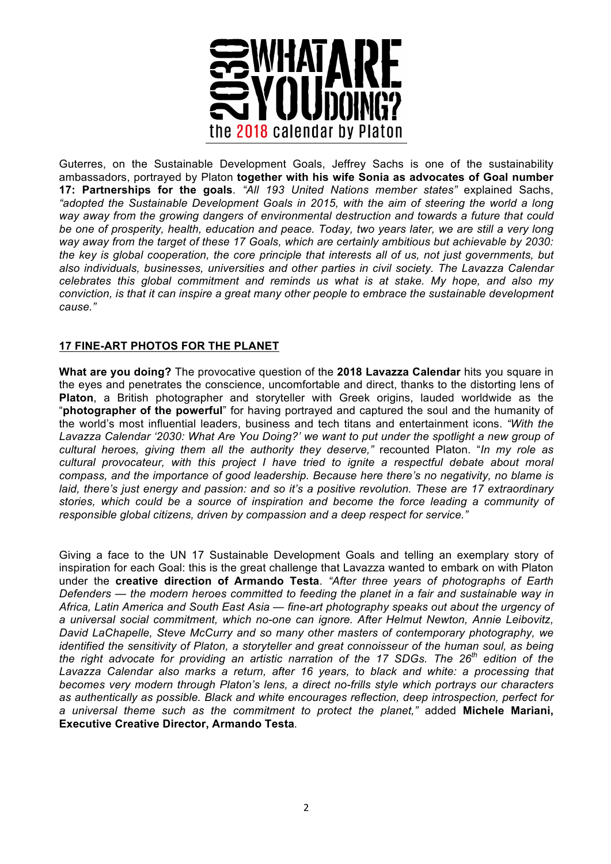

Guterres, on the Sustainable Development Goals, Jeffrey Sachs is one of the sustainability ambassadors, portrayed by Platon **together with his wife Sonia as advocates of Goal number 17: Partnerships for the goals**. *"All 193 United Nations member states"* explained Sachs, *"adopted the Sustainable Development Goals in 2015, with the aim of steering the world a long way away from the growing dangers of environmental destruction and towards a future that could be one of prosperity, health, education and peace. Today, two years later, we are still a very long way away from the target of these 17 Goals, which are certainly ambitious but achievable by 2030: the key is global cooperation, the core principle that interests all of us, not just governments, but also individuals, businesses, universities and other parties in civil society. The Lavazza Calendar celebrates this global commitment and reminds us what is at stake. My hope, and also my conviction, is that it can inspire a great many other people to embrace the sustainable development cause."*

## **17 FINE-ART PHOTOS FOR THE PLANET**

**What are you doing?** The provocative question of the **2018 Lavazza Calendar** hits you square in the eyes and penetrates the conscience, uncomfortable and direct, thanks to the distorting lens of **Platon**, a British photographer and storyteller with Greek origins, lauded worldwide as the "**photographer of the powerful**" for having portrayed and captured the soul and the humanity of the world's most influential leaders, business and tech titans and entertainment icons. *"With the Lavazza Calendar '2030: What Are You Doing?' we want to put under the spotlight a new group of cultural heroes, giving them all the authority they deserve,"* recounted Platon. "*In my role as cultural provocateur, with this project I have tried to ignite a respectful debate about moral compass, and the importance of good leadership. Because here there's no negativity, no blame is laid, there's just energy and passion: and so it's a positive revolution. These are 17 extraordinary stories, which could be a source of inspiration and become the force leading a community of responsible global citizens, driven by compassion and a deep respect for service."*

Giving a face to the UN 17 Sustainable Development Goals and telling an exemplary story of inspiration for each Goal: this is the great challenge that Lavazza wanted to embark on with Platon under the **creative direction of Armando Testa**. *"After three years of photographs of Earth Defenders — the modern heroes committed to feeding the planet in a fair and sustainable way in Africa, Latin America and South East Asia — fine-art photography speaks out about the urgency of a universal social commitment, which no-one can ignore. After Helmut Newton, Annie Leibovitz, David LaChapelle, Steve McCurry and so many other masters of contemporary photography, we identified the sensitivity of Platon, a storyteller and great connoisseur of the human soul, as being the right advocate for providing an artistic narration of the 17 SDGs. The 26th edition of the*  Lavazza Calendar also marks a return, after 16 years, to black and white: a processing that *becomes very modern through Platon's lens, a direct no-frills style which portrays our characters as authentically as possible. Black and white encourages reflection, deep introspection, perfect for a universal theme such as the commitment to protect the planet,"* added **Michele Mariani, Executive Creative Director, Armando Testa***.*